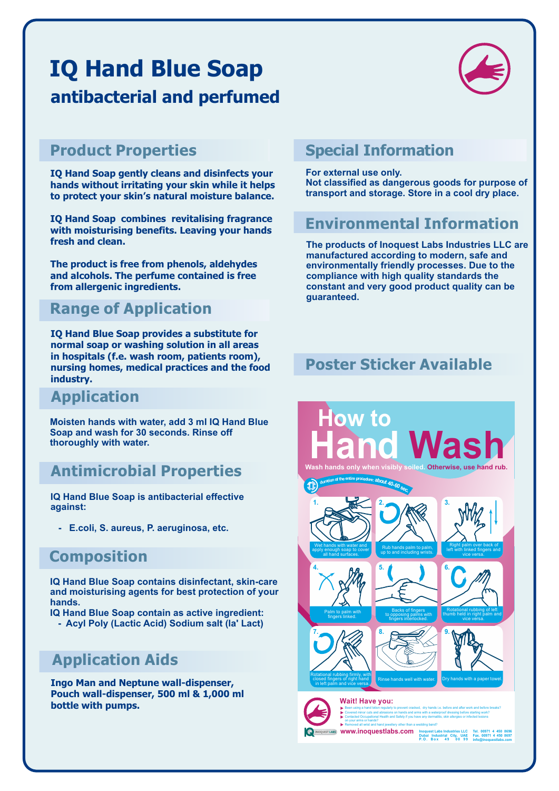# **IQ Hand Blue Soap antibacterial and perfumed**



#### **Product Properties**

**IQ Hand Soap gently cleans and disinfects your hands without irritating your skin while it helps to protect your skin's natural moisture balance.**

**IQ Hand Soap combines revitalising fragrance with moisturising benefits. Leaving your hands fresh and clean.**

**The product is free from phenols, aldehydes and alcohols. The perfume contained is free from allergenic ingredients.**

#### **Range of Application**

**IQ Hand Blue Soap provides a substitute for normal soap or washing solution in all areas in hospitals (f.e. wash room, patients room), nursing homes, medical practices and the food industry.**

#### **Application**

**Moisten hands with water, add 3 ml IQ Hand Blue Soap and wash for 30 seconds. Rinse off thoroughly with water.**

#### **Antimicrobial Properties**

**IQ Hand Blue Soap is antibacterial effective against:**

 **- E.coli, S. aureus, P. aeruginosa, etc.**

#### **Composition**

**IQ Hand Blue Soap contains disinfectant, skin-care and moisturising agents for best protection of your hands.**

- **IQ Hand Blue Soap contain as active ingredient:**
	- **Acyl Poly (Lactic Acid) Sodium salt (la' Lact)**

### **Application Aids**

**Ingo Man and Neptune wall-dispenser, Pouch wall-dispenser, 500 ml & 1,000 ml bottle with pumps.**

#### **Special Information**

**For external use only. Not classified as dangerous goods for purpose of transport and storage. Store in a cool dry place.**

#### **Environmental Information**

**The products of Inoquest Labs Industries LLC are manufactured according to modern, safe and environmentally friendly processes. Due to the compliance with high quality standards the constant and very good product quality can be guaranteed.**

#### **Poster Sticker Available**

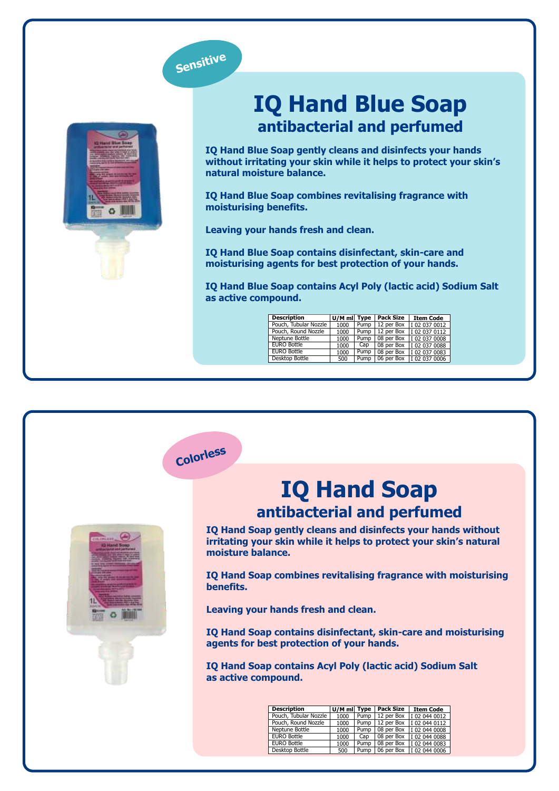

**Colorless**



# **IQ Hand Blue Soap antibacterial and perfumed**

**IQ Hand Blue Soap gently cleans and disinfects your hands without irritating your skin while it helps to protect your skin's natural moisture balance.** 

**IQ Hand Blue Soap combines revitalising fragrance with moisturising benefits.** 

**Leaving your hands fresh and clean.**

**IQ Hand Blue Soap contains disinfectant, skin-care and moisturising agents for best protection of your hands.**

**IQ Hand Blue Soap contains Acyl Poly (lactic acid) Sodium Salt as active compound.** 

| <b>Description</b>    | U/M ml Type |      | <b>Pack Size</b> | <b>Item Code</b> |
|-----------------------|-------------|------|------------------|------------------|
| Pouch, Tubular Nozzle | 1000        | Pump | 12 per Box       | I 02 037 0012    |
| Pouch, Round Nozzle   | 1000        | Pump | 12 per Box       | I 02 037 0112    |
| Neptune Bottle        | 1000        | Pump | 08 per Box       | I 02 037 0008    |
| <b>EURO Bottle</b>    | 1000        | Cap  | 08 per Box       | I 02 037 0088    |
| <b>EURO Bottle</b>    | 1000        | Pump | 08 per Box       | I 02 037 0083    |
| Desktop Bottle        | 500         | Pump | 06 per Box       | I 02 037 0006    |



### **IQ Hand Soap antibacterial and perfumed**

**IQ Hand Soap gently cleans and disinfects your hands without irritating your skin while it helps to protect your skin's natural moisture balance.** 

**IQ Hand Soap combines revitalising fragrance with moisturising benefits.** 

**Leaving your hands fresh and clean.**

**IQ Hand Soap contains disinfectant, skin-care and moisturising agents for best protection of your hands.**

**IQ Hand Soap contains Acyl Poly (lactic acid) Sodium Salt as active compound.**

| <b>Description</b>    | U/M ml Type |      | <b>Pack Size</b> | <b>Item Code</b> |
|-----------------------|-------------|------|------------------|------------------|
| Pouch, Tubular Nozzle | 1000        | Pump | 12 per Box       | I 02 044 0012    |
| Pouch, Round Nozzle   | 1000        | Pump | 12 per Box       | I 02 044 0112    |
| Neptune Bottle        | 1000        | Pump | 08 per Box       | I 02 044 0008    |
| <b>EURO Bottle</b>    | 1000        | Cap  | 08 per Box       | I020440088       |
| <b>EURO Bottle</b>    | 1000        | Pump | 08 per Box       | I020440083       |
| Desktop Bottle        | 500         | Pump | 06 per Box       | I 02 044 0006    |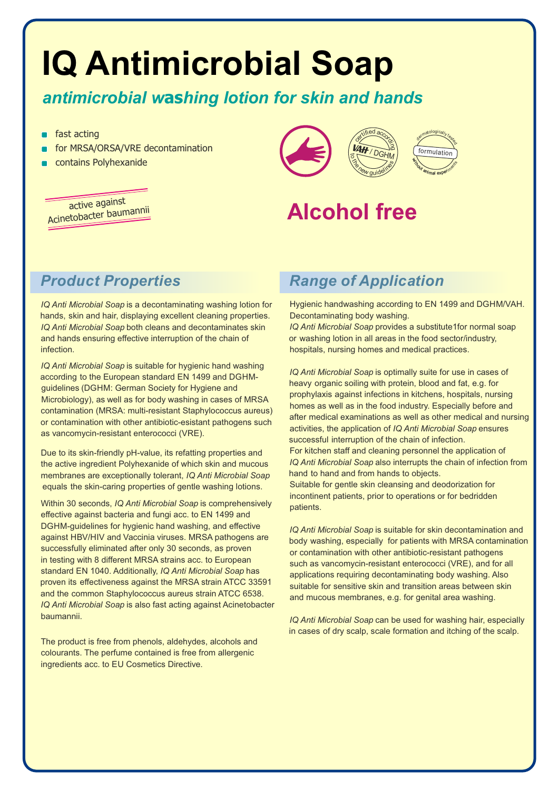# **IQ Antimicrobial Soap**

#### *antimicrobial w***as***hing lotion for skin and hands*

- fast acting
- for MRSA/ORSA/VRE decontamination
- contains Polyhexanide

active against Acinetobacter baumannii



# **Alcohol free**

### *Product Properties*

*IQ Anti Microbial Soap* is a decontaminating washing lotion for hands, skin and hair, displaying excellent cleaning properties. *IQ Anti Microbial Soap* both cleans and decontaminates skin and hands ensuring effective interruption of the chain of infection.

*IQ Anti Microbial Soap* is suitable for hygienic hand washing according to the European standard EN 1499 and DGHMguidelines (DGHM: German Society for Hygiene and Microbiology), as well as for body washing in cases of MRSA contamination (MRSA: multi-resistant Staphylococcus aureus) or contamination with other antibiotic-esistant pathogens such as vancomycin-resistant enterococci (VRE).

Due to its skin-friendly pH-value, its refatting properties and the active ingredient Polyhexanide of which skin and mucous membranes are exceptionally tolerant, *IQ Anti Microbial Soap* equals the skin-caring properties of gentle washing lotions.

Within 30 seconds, *IQ Anti Microbial Soap* is comprehensively effective against bacteria and fungi acc. to EN 1499 and DGHM-guidelines for hygienic hand washing, and effective against HBV/HIV and Vaccinia viruses. MRSA pathogens are successfully eliminated after only 30 seconds, as proven in testing with 8 different MRSA strains acc. to European standard EN 1040. Additionally, *IQ Anti Microbial Soap* has proven its effectiveness against the MRSA strain ATCC 33591 and the common Staphylococcus aureus strain ATCC 6538. *IQ Anti Microbial Soap* is also fast acting against Acinetobacter baumannii.

The product is free from phenols, aldehydes, alcohols and colourants. The perfume contained is free from allergenic ingredients acc. to EU Cosmetics Directive.

#### *Range of Application*

Hygienic handwashing according to EN 1499 and DGHM/VAH. Decontaminating body washing.

*IQ Anti Microbial Soap* provides a substitute1for normal soap or washing lotion in all areas in the food sector/industry, hospitals, nursing homes and medical practices.

*IQ Anti Microbial Soap* is optimally suite for use in cases of heavy organic soiling with protein, blood and fat, e.g. for prophylaxis against infections in kitchens, hospitals, nursing homes as well as in the food industry. Especially before and after medical examinations as well as other medical and nursing activities, the application of *IQ Anti Microbial Soap* ensures successful interruption of the chain of infection.

For kitchen staff and cleaning personnel the application of *IQ Anti Microbial Soap* also interrupts the chain of infection from hand to hand and from hands to objects.

Suitable for gentle skin cleansing and deodorization for incontinent patients, prior to operations or for bedridden patients.

*IQ Anti Microbial Soap* is suitable for skin decontamination and body washing, especially for patients with MRSA contamination or contamination with other antibiotic-resistant pathogens such as vancomycin-resistant enterococci (VRE), and for all applications requiring decontaminating body washing. Also suitable for sensitive skin and transition areas between skin and mucous membranes, e.g. for genital area washing.

*IQ Anti Microbial Soap* can be used for washing hair, especially in cases of dry scalp, scale formation and itching of the scalp.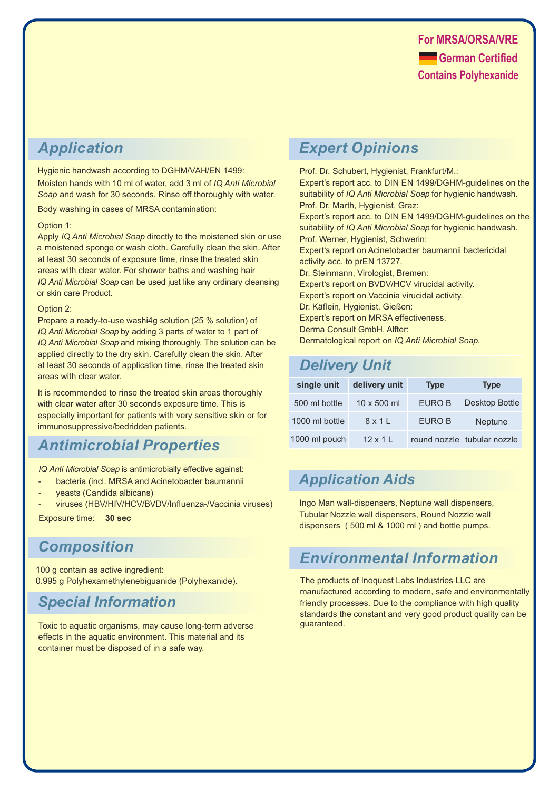#### *Application*

Hygienic handwash according to DGHM/VAH/EN 1499: Moisten hands with 10 ml of water, add 3 ml of *IQ Anti Microbial Soap* and wash for 30 seconds. Rinse off thoroughly with water.

Body washing in cases of MRSA contamination:

#### Option 1:

Apply *IQ Anti Microbial Soap* directly to the moistened skin or use a moistened sponge or wash cloth. Carefully clean the skin. After at least 30 seconds of exposure time, rinse the treated skin areas with clear water. For shower baths and washing hair *IQ Anti Microbial Soap* can be used just like any ordinary cleansing or skin care Product.

#### Option 2:

Prepare a ready-to-use washi4g solution (25 % solution) of *IQ Anti Microbial Soap* by adding 3 parts of water to 1 part of *IQ Anti Microbial Soap* and mixing thoroughly. The solution can be applied directly to the dry skin. Carefully clean the skin. After at least 30 seconds of application time, rinse the treated skin areas with clear water.

It is recommended to rinse the treated skin areas thoroughly with clear water after 30 seconds exposure time. This is especially important for patients with very sensitive skin or for immunosuppressive/bedridden patients.

#### *Antimicrobial Properties*

*IQ Anti Microbial Soap* is antimicrobially effective against:

- bacteria (incl. MRSA and Acinetobacter baumannii
- yeasts (Candida albicans)
- viruses (HBV/HIV/HCV/BVDV/Influenza-/Vaccinia viruses)

Exposure time: **30 sec**

#### *Composition*

100 g contain as active ingredient: 0.995 g Polyhexamethylenebiguanide (Polyhexanide).

#### *Special Information*

Toxic to aquatic organisms, may cause long-term adverse effects in the aquatic environment. This material and its container must be disposed of in a safe way.

#### *Expert Opinions*

Prof. Dr. Schubert, Hygienist, Frankfurt/M.: Expert's report acc. to DIN EN 1499/DGHM-guidelines on the suitability of *IQ Anti Microbial Soap* for hygienic handwash. Prof. Dr. Marth, Hygienist, Graz: Expert's report acc. to DIN EN 1499/DGHM-guidelines on the suitability of *IQ Anti Microbial Soap* for hygienic handwash. Prof. Werner, Hygienist, Schwerin: Expert's report on Acinetobacter baumannii bactericidal activity acc. to prEN 13727. Dr. Steinmann, Virologist, Bremen: Expert's report on BVDV/HCV virucidal activity. Expert's report on Vaccinia virucidal activity. Dr. Käflein, Hygienist, Gießen: Expert's report on MRSA effectiveness. Derma Consult GmbH, Alfter: Dermatological report on *IQ Anti Microbial Soap*.

### *Delivery Unit*

| single unit    | delivery unit      | <b>Type</b> | <b>Type</b>                 |
|----------------|--------------------|-------------|-----------------------------|
| 500 ml bottle  | $10 \times 500$ ml | EURO B      | Desktop Bottle              |
| 1000 ml bottle | 8x1                | EURO B      | <b>Neptune</b>              |
| 1000 ml pouch  | $12 \times 11$     |             | round nozzle tubular nozzle |

#### *Application Aids*

Ingo Man wall-dispensers, Neptune wall dispensers, Tubular Nozzle wall dispensers, Round Nozzle wall dispensers ( 500 ml & 1000 ml ) and bottle pumps.

#### *Environmental Information*

The products of Inoquest Labs Industries LLC are manufactured according to modern, safe and environmentally friendly processes. Due to the compliance with high quality standards the constant and very good product quality can be guaranteed.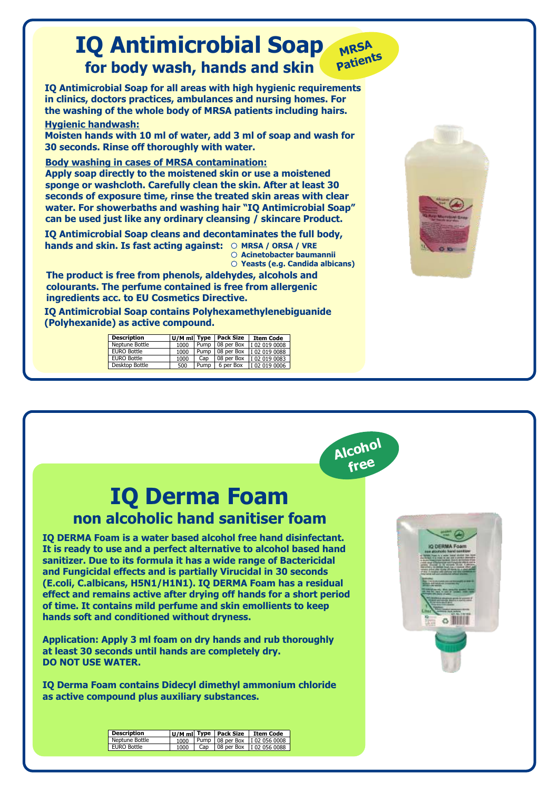



# **IQ Derma Foam non alcoholic hand sanitiser foam**

**IQ DERMA Foam is a water based alcohol free hand disinfectant. It is ready to use and a perfect alternative to alcohol based hand sanitizer. Due to its formula it has a wide range of Bactericidal and Fungicidal effects and is partially Virucidal in 30 seconds (E.coli, C.albicans, H5N1/H1N1). IQ DERMA Foam has a residual effect and remains active after drying off hands for a short period of time. It contains mild perfume and skin emollients to keep hands soft and conditioned without dryness.** 

**Application: Apply 3 ml foam on dry hands and rub thoroughly at least 30 seconds until hands are completely dry. DO NOT USE WATER.**

**IQ Derma Foam contains Didecyl dimethyl ammonium chloride as active compound plus auxiliary substances.**

| Q DERMA Foam<br>ativitable feared sand later                                                                                                                                                                                                                                                                                    |
|---------------------------------------------------------------------------------------------------------------------------------------------------------------------------------------------------------------------------------------------------------------------------------------------------------------------------------|
| Spitate Huasi In a wone banal abullet the In-<br>Auctionals of a training and and a permit determine<br>Australian program contains dealers at the contact of<br>a visite range of Marketsche nick Fungfordal offers is a<br>pennis director of its woman's third. Calv-<br>two critery is detailed book risk a capacity offert |
| version private play doorse off history for a subsidial<br>of them. In cranging cell & particular lane rights state<br>tera current sulla gondi prodottoredi selficepit dell<br><b>Rain I as a municipal assurance assurance at most of-</b>                                                                                    |
| <b>Miller A. A. Art Law P. And A. Company and Allen</b><br><b>SERVICE MARINE</b><br>Fore enty. Mind. Including graded.<br><b>FAIR ROOM OF DISABILITIES</b><br><b><i><u>STATE OF LIBER</u></i></b>                                                                                                                               |
| <b>PERSONAL ANGELES AND AT LUXURY 1</b><br><b>RYST WITHIN CO., POLEN &amp; LIGHTER HIRES</b><br><b>PERMIT SALE AFT.</b>                                                                                                                                                                                                         |
| ÷<br>A VA<br>-                                                                                                                                                                                                                                                                                                                  |
|                                                                                                                                                                                                                                                                                                                                 |
|                                                                                                                                                                                                                                                                                                                                 |
|                                                                                                                                                                                                                                                                                                                                 |
|                                                                                                                                                                                                                                                                                                                                 |

| <b>Description</b> |      |     | U/M mil Type   Pack Size   Item Code |
|--------------------|------|-----|--------------------------------------|
| Neptune Bottle     | 1000 |     | Pump   08 per Box   I 02 056 0008    |
| EURO Bottle        | 1000 | Cap | 08 per Box   I 02 056 0088           |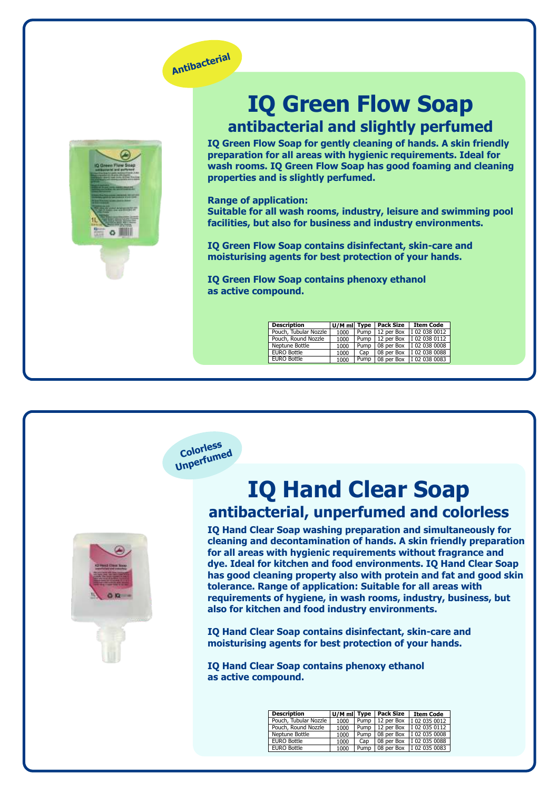

**Colorless Unperfumed**



# **IQ Green Flow Soap antibacterial and slightly perfumed**

**IQ Green Flow Soap for gently cleaning of hands. A skin friendly preparation for all areas with hygienic requirements. Ideal for wash rooms. IQ Green Flow Soap has good foaming and cleaning properties and is slightly perfumed.**

**Range of application: Suitable for all wash rooms, industry, leisure and swimming pool facilities, but also for business and industry environments.** 

**IQ Green Flow Soap contains disinfectant, skin-care and moisturising agents for best protection of your hands.**

**IQ Green Flow Soap contains phenoxy ethanol as active compound.** 

| <b>Description</b>    | U/M ml Type |      | Pack Size  | <b>Item Code</b>           |
|-----------------------|-------------|------|------------|----------------------------|
| Pouch, Tubular Nozzle | 1000        | Pump | 12 per Box | I 02 038 0012              |
| Pouch, Round Nozzle   | 1000        | Pump |            | 12 per Box   I 02 038 0112 |
| Neptune Bottle        | 1000        | Pump |            | 08 per Box   I 02 038 0008 |
| <b>EURO Bottle</b>    | 1000        | Cap  |            | 08 per Box   I 02 038 0088 |
| <b>EURO Bottle</b>    | 1000        | Pump |            | 08 per Box   I 02 038 0083 |



# **IQ Hand Clear Soap antibacterial, unperfumed and colorless**

**IQ Hand Clear Soap washing preparation and simultaneously for cleaning and decontamination of hands. A skin friendly preparation for all areas with hygienic requirements without fragrance and dye. Ideal for kitchen and food environments. IQ Hand Clear Soap has good cleaning property also with protein and fat and good skin tolerance. Range of application: Suitable for all areas with requirements of hygiene, in wash rooms, industry, business, but also for kitchen and food industry environments.** 

**IQ Hand Clear Soap contains disinfectant, skin-care and moisturising agents for best protection of your hands.**

**IQ Hand Clear Soap contains phenoxy ethanol as active compound.** 

| <b>Description</b>    |      |      | U/M ml Type   Pack Size | <b>Item Code</b>                  |
|-----------------------|------|------|-------------------------|-----------------------------------|
| Pouch, Tubular Nozzle | 1000 |      | Pump   12 per Box       | I 02 035 0012                     |
| Pouch, Round Nozzle   | 1000 |      |                         | Pump   12 per Box   I 02 035 0112 |
| Neptune Bottle        | 1000 | Pump |                         | 08 per Box   I 02 035 0008        |
| <b>EURO Bottle</b>    | 1000 | Cap  |                         | 08 per Box   I 02 035 0088        |
| <b>EURO Bottle</b>    | 1000 | Pump |                         | 08 per Box   I 02 035 0083        |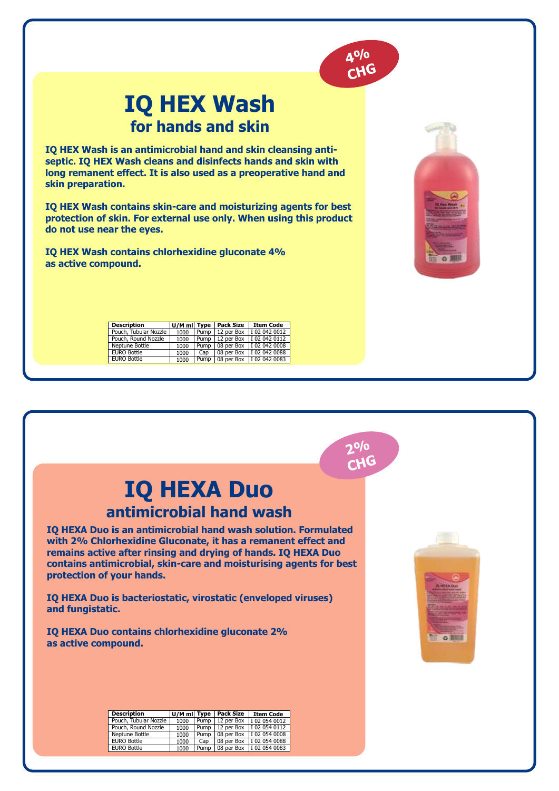

○ 開

# **IQ HEX Wash for hands and skin**

**IQ HEX Wash is an antimicrobial hand and skin cleansing antiseptic. IQ HEX Wash cleans and disinfects hands and skin with long remanent effect. It is also used as a preoperative hand and skin preparation.**

**IQ HEX Wash contains skin-care and moisturizing agents for best protection of skin. For external use only. When using this product do not use near the eyes.**

**IQ HEX Wash contains chlorhexidine gluconate 4% as active compound.**

| <b>Description</b>    |      |      | U/M ml Type   Pack Size | <b>Item Code</b>           |
|-----------------------|------|------|-------------------------|----------------------------|
| Pouch, Tubular Nozzle | 1000 |      | Pump   12 per Box       | I 02 042 0012              |
| Pouch, Round Nozzle   | 1000 | Pump |                         | 12 per Box   I 02 042 0112 |
| Neptune Bottle        | 1000 | Pump |                         | 08 per Box   I 02 042 0008 |
| <b>EURO Bottle</b>    | 1000 | Cap  |                         | 08 per Box   I 02 042 0088 |
| <b>EURO Bottle</b>    | 1000 | Pump |                         | 08 per Box   I 02 042 0083 |

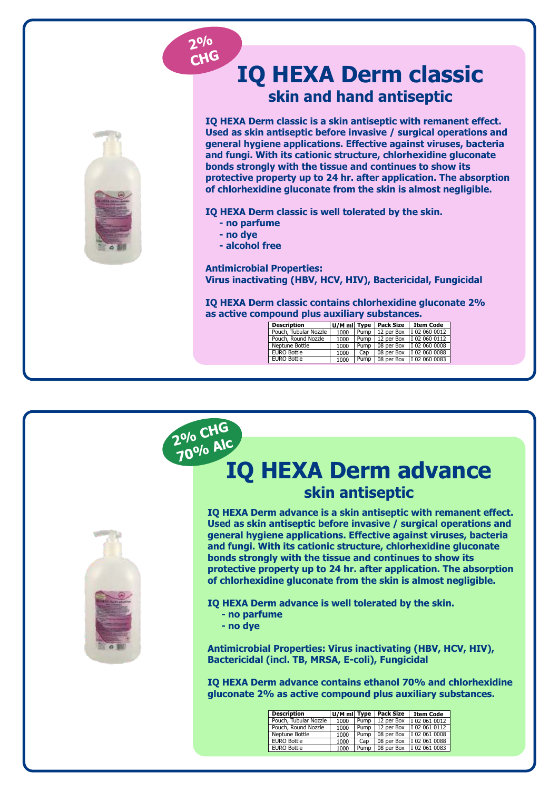#### **2% CHG**



# **IQ HEXA Derm classic skin and hand antiseptic**

**IQ HEXA Derm classic is a skin antiseptic with remanent effect. Used as skin antiseptic before invasive / surgical operations and general hygiene applications. Effective against viruses, bacteria and fungi. With its cationic structure, chlorhexidine gluconate bonds strongly with the tissue and continues to show its protective property up to 24 hr. after application. The absorption of chlorhexidine gluconate from the skin is almost negligible.**

**IQ HEXA Derm classic is well tolerated by the skin.**

- **no parfume**
- **no dye**
- **alcohol free**

**Antimicrobial Properties: Virus inactivating (HBV, HCV, HIV), Bactericidal, Fungicidal** 

**IQ HEXA Derm classic contains chlorhexidine gluconate 2% as active compound plus auxiliary substances.**

| <b>Description</b>    |      |      | U/M ml  Type   Pack Size | <b>Item Code</b>                  |
|-----------------------|------|------|--------------------------|-----------------------------------|
| Pouch, Tubular Nozzle | 1000 | Pump |                          | 12 per Box   I 02 060 0012        |
| Pouch, Round Nozzle   | 1000 |      |                          | Pump   12 per Box   I 02 060 0112 |
| Neptune Bottle        | 1000 | Pump |                          | 08 per Box   I 02 060 0008        |
| <b>EURO Bottle</b>    | 1000 | Cap  |                          | 08 per Box   I 02 060 0088        |
| <b>EURO Bottle</b>    | 1000 | Pump |                          | 08 per Box   I 02 060 0083        |



| <b>Description</b>    | U/M ml Type |      | Pack Size  | <b>Item Code</b>           |
|-----------------------|-------------|------|------------|----------------------------|
| Pouch, Tubular Nozzle | 1000        | Pump | 12 per Box | I 02 061 0012              |
| Pouch, Round Nozzle   | 1000        | Pump |            | 12 per Box   I 02 061 0112 |
| Neptune Bottle        | 1000        | Pump |            | 08 per Box   I 02 061 0008 |
| <b>EURO Bottle</b>    | 1000        | Cap  |            | 08 per Box   I 02 061 0088 |
| <b>EURO Bottle</b>    | 1000        | Pump |            | 08 per Box   I 02 061 0083 |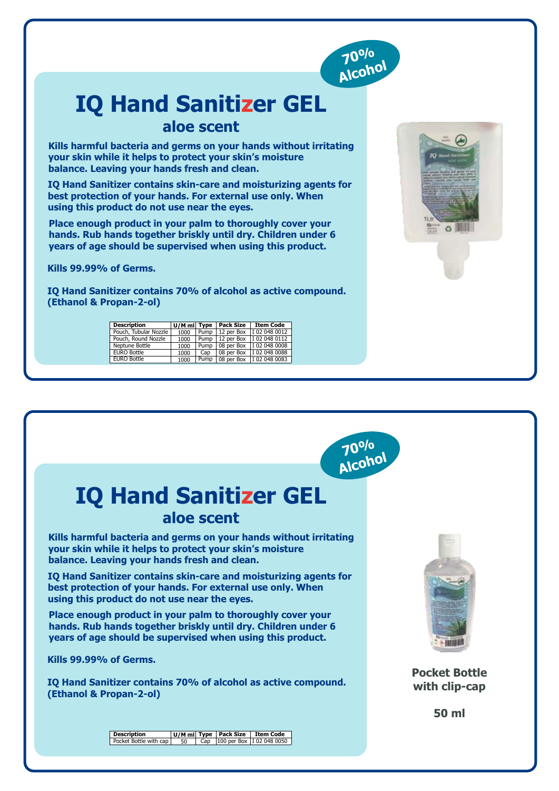

# **IQ Hand Sanitizer GEL aloe scent**

**Kills harmful bacteria and germs on your hands without irritating your skin while it helps to protect your skin's moisture balance. Leaving your hands fresh and clean.**

**IQ Hand Sanitizer contains skin-care and moisturizing agents for best protection of your hands. For external use only. When using this product do not use near the eyes.**

**Place enough product in your palm to thoroughly cover your hands. Rub hands together briskly until dry. Children under 6 years of age should be supervised when using this product.**

**Kills 99.99% of Germs.**

**IQ Hand Sanitizer contains 70% of alcohol as active compound. (Ethanol & Propan-2-ol)**

| <b>Description</b>    | U/M mi Type |      | <b>Pack Size</b> | <b>Item Code</b>           |
|-----------------------|-------------|------|------------------|----------------------------|
| Pouch, Tubular Nozzle | 1000        | Pump | 12 per Box       | I 02 048 0012              |
| Pouch, Round Nozzle   | 1000        | Pump | 12 per Box       | I 02 048 0112              |
| Neptune Bottle        | 1000        | Pump | 08 per Box       | I 02 048 0008              |
| <b>EURO Bottle</b>    | 1000        | Cap  | 08 per Box       | I 02 048 0088              |
| EURO Bottle           | 1000        | Pump |                  | 08 per Box   I 02 048 0083 |





# **IQ Hand Sanitizer GEL aloe scent**

**Kills harmful bacteria and germs on your hands without irritating your skin while it helps to protect your skin's moisture balance. Leaving your hands fresh and clean.**

**IQ Hand Sanitizer contains skin-care and moisturizing agents for best protection of your hands. For external use only. When using this product do not use near the eyes.**

**Place enough product in your palm to thoroughly cover your hands. Rub hands together briskly until dry. Children under 6 years of age should be supervised when using this product.**

**Kills 99.99% of Germs.**

**IQ Hand Sanitizer contains 70% of alcohol as active compound. (Ethanol & Propan-2-ol)**



**Pocket Bottle with clip-cap**

**50 ml**

**Description** Pocket Bottle with cap **U/M ml Type Pack Size Item Code**<br>
50 Cap 100 per Box 102 048 0050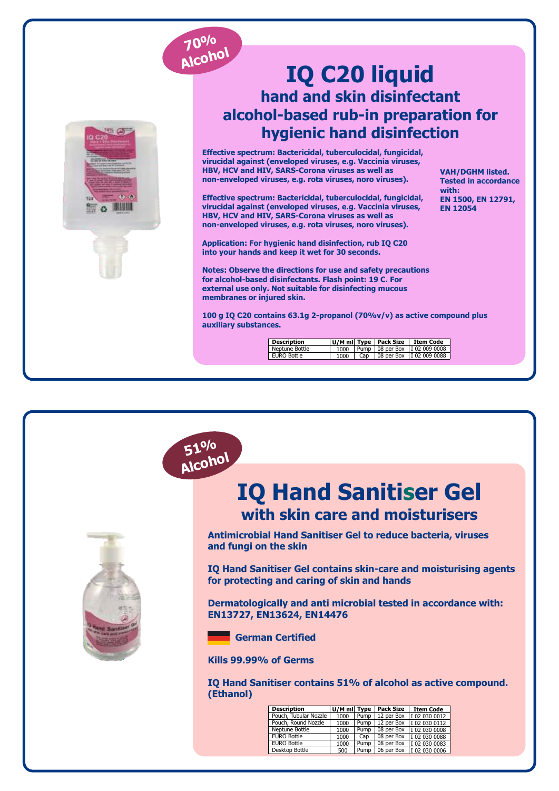

**51% Alcohol**



## **IQ C20 liquid hand and skin disinfectant alcohol-based rub-in preparation for hygienic hand disinfection**

**Effective spectrum: Bactericidal, tuberculocidal, fungicidal, virucidal against (enveloped viruses, e.g. Vaccinia viruses, HBV, HCV and HIV, SARS-Corona viruses as well as non-enveloped viruses, e.g. rota viruses, noro viruses).**

**Effective spectrum: Bactericidal, tuberculocidal, fungicidal, virucidal against (enveloped viruses, e.g. Vaccinia viruses, HBV, HCV and HIV, SARS-Corona viruses as well as non-enveloped viruses, e.g. rota viruses, noro viruses).**

**Application: For hygienic hand disinfection, rub IQ C20 into your hands and keep it wet for 30 seconds.**

**Notes: Observe the directions for use and safety precautions for alcohol-based disinfectants. Flash point: 19 C. For external use only. Not suitable for disinfecting mucous membranes or injured skin.** 

**VAH/DGHM listed. Tested in accordance with: EN 1500, EN 12791, EN 12054**

**100 g IQ C20 contains 63.1g 2-propanol (70%v/v) as active compound plus auxiliary substances.**

| <b>Description</b> |      |     | U/M mil Type   Pack Size | Item Code                         |
|--------------------|------|-----|--------------------------|-----------------------------------|
| Neptune Bottle     | 1000 |     |                          | Pump   08 per Box   I 02 009 0008 |
| EURO Bottle        | 1000 | Cap |                          | 08 per Box   I 02 009 0088        |



**IQ Hand Sanitiser Gel with skin care and moisturisers**

**Antimicrobial Hand Sanitiser Gel to reduce bacteria, viruses and fungi on the skin**

**IQ Hand Sanitiser Gel contains skin-care and moisturising agents for protecting and caring of skin and hands**

**Dermatologically and anti microbial tested in accordance with: EN13727, EN13624, EN14476**

 **German Certified**

**Kills 99.99% of Germs**

**IQ Hand Sanitiser contains 51% of alcohol as active compound. (Ethanol)**

| <b>Description</b>    | $U/M$ ml Type |      | <b>Pack Size</b> | <b>Item Code</b> |
|-----------------------|---------------|------|------------------|------------------|
| Pouch, Tubular Nozzle | 1000          | Pump | 12 per Box       | I 02 030 0012    |
| Pouch, Round Nozzle   | 1000          | Pump | 12 per Box       | I 02 030 0112    |
| Neptune Bottle        | 1000          | Pump | 08 per Box       | I 02 030 0008    |
| <b>EURO Bottle</b>    | 1000          | Cap  | 08 per Box       | I 02 030 0088    |
| <b>EURO Bottle</b>    | 1000          | Pump | 08 per Box       | I 02 030 0083    |
| Desktop Bottle        | 500           | Pump | 06 per Box       | I 02 030 0006    |